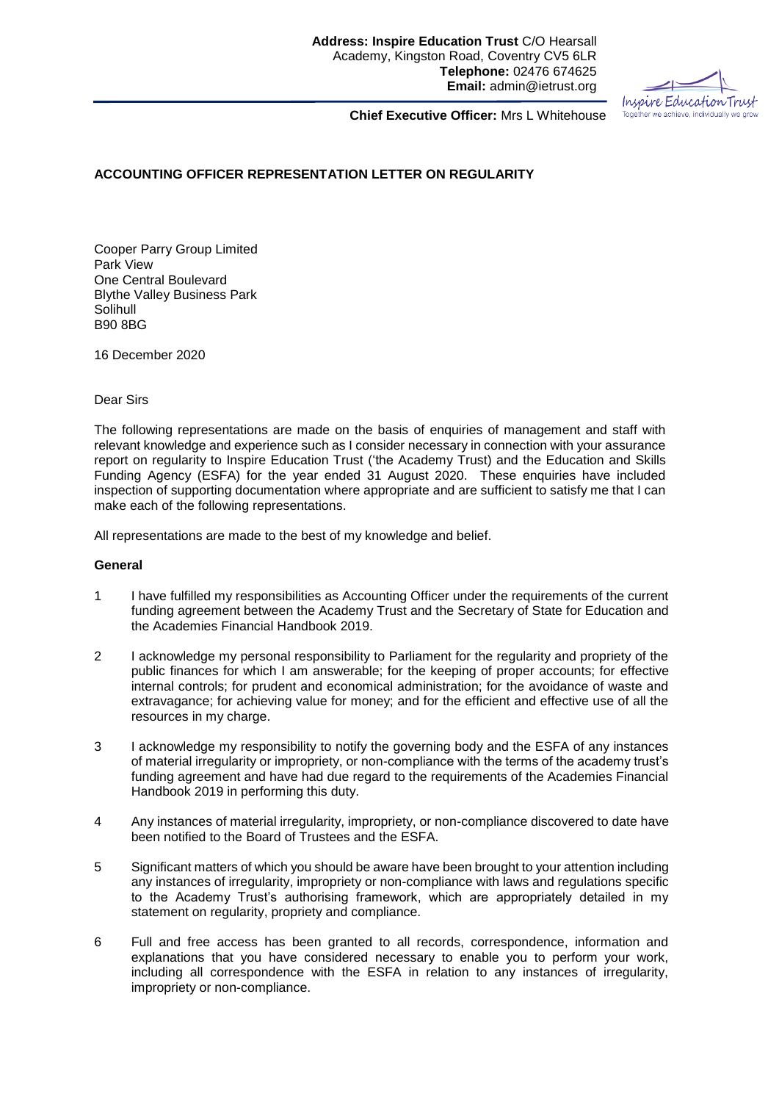Inspire Education Trust Together we achieve, individually we grow

**Chief Executive Officer:** Mrs L Whitehouse

## **ACCOUNTING OFFICER REPRESENTATION LETTER ON REGULARITY**

Cooper Parry Group Limited Park View One Central Boulevard Blythe Valley Business Park Solihull B90 8BG

16 December 2020

## Dear Sirs

The following representations are made on the basis of enquiries of management and staff with relevant knowledge and experience such as I consider necessary in connection with your assurance report on regularity to Inspire Education Trust ('the Academy Trust) and the Education and Skills Funding Agency (ESFA) for the year ended 31 August 2020. These enquiries have included inspection of supporting documentation where appropriate and are sufficient to satisfy me that I can make each of the following representations.

All representations are made to the best of my knowledge and belief.

## **General**

- 1 I have fulfilled my responsibilities as Accounting Officer under the requirements of the current funding agreement between the Academy Trust and the Secretary of State for Education and the Academies Financial Handbook 2019.
- 2 I acknowledge my personal responsibility to Parliament for the regularity and propriety of the public finances for which I am answerable; for the keeping of proper accounts; for effective internal controls; for prudent and economical administration; for the avoidance of waste and extravagance; for achieving value for money; and for the efficient and effective use of all the resources in my charge.
- 3 I acknowledge my responsibility to notify the governing body and the ESFA of any instances of material irregularity or impropriety, or non-compliance with the terms of the academy trust's funding agreement and have had due regard to the requirements of the Academies Financial Handbook 2019 in performing this duty.
- 4 Any instances of material irregularity, impropriety, or non-compliance discovered to date have been notified to the Board of Trustees and the ESFA.
- 5 Significant matters of which you should be aware have been brought to your attention including any instances of irregularity, impropriety or non-compliance with laws and regulations specific to the Academy Trust's authorising framework, which are appropriately detailed in my statement on regularity, propriety and compliance.
- 6 Full and free access has been granted to all records, correspondence, information and explanations that you have considered necessary to enable you to perform your work, including all correspondence with the ESFA in relation to any instances of irregularity, impropriety or non-compliance.